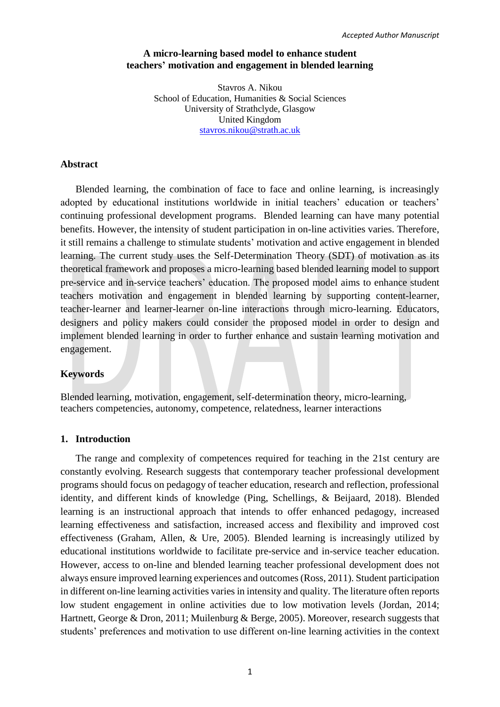# **A micro-learning based model to enhance student teachers' motivation and engagement in blended learning**

Stavros A. Nikou School of Education, Humanities & Social Sciences University of Strathclyde, Glasgow United Kingdom [stavros.nikou@strath.ac.uk](mailto:stavros.nikou@strath.ac.uk)

#### **Abstract**

Blended learning, the combination of face to face and online learning, is increasingly adopted by educational institutions worldwide in initial teachers' education or teachers' continuing professional development programs. Blended learning can have many potential benefits. However, the intensity of student participation in on-line activities varies. Therefore, it still remains a challenge to stimulate students' motivation and active engagement in blended learning. The current study uses the Self-Determination Theory (SDT) of motivation as its theoretical framework and proposes a micro-learning based blended learning model to support pre-service and in-service teachers' education. The proposed model aims to enhance student teachers motivation and engagement in blended learning by supporting content-learner, teacher-learner and learner-learner on-line interactions through micro-learning. Educators, designers and policy makers could consider the proposed model in order to design and implement blended learning in order to further enhance and sustain learning motivation and engagement.

# **Keywords**

Blended learning, motivation, engagement, self-determination theory, micro-learning, teachers competencies, autonomy, competence, relatedness, learner interactions

# **1. Introduction**

The range and complexity of competences required for teaching in the 21st century are constantly evolving. Research suggests that contemporary teacher professional development programs should focus on pedagogy of teacher education, research and reflection, professional identity, and different kinds of knowledge (Ping, Schellings, & Beijaard, 2018). Blended learning is an instructional approach that intends to offer enhanced pedagogy, increased learning effectiveness and satisfaction, increased access and flexibility and improved cost effectiveness (Graham, Allen, & Ure, 2005). Blended learning is increasingly utilized by educational institutions worldwide to facilitate pre-service and in-service teacher education. However, access to on-line and blended learning teacher professional development does not always ensure improved learning experiences and outcomes (Ross, 2011). Student participation in different on-line learning activities varies in intensity and quality. The literature often reports low student engagement in online activities due to low motivation levels (Jordan, 2014; Hartnett, George & Dron, 2011; Muilenburg & Berge, 2005). Moreover, research suggests that students' preferences and motivation to use different on-line learning activities in the context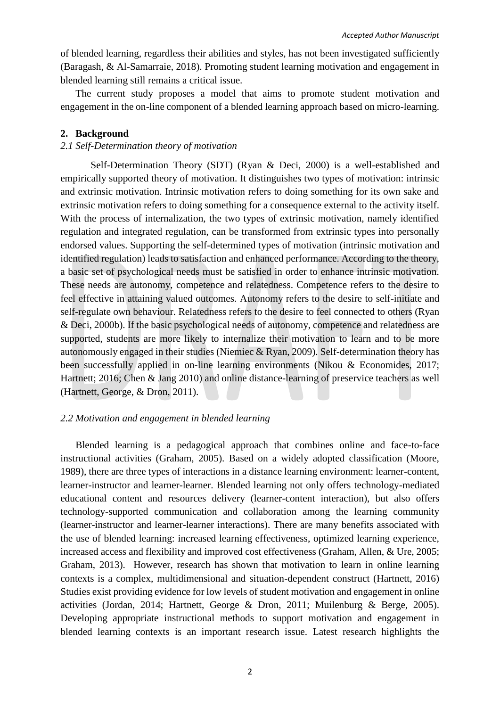of blended learning, regardless their abilities and styles, has not been investigated sufficiently (Baragash, & Al-Samarraie, 2018). Promoting student learning motivation and engagement in blended learning still remains a critical issue.

The current study proposes a model that aims to promote student motivation and engagement in the on-line component of a blended learning approach based on micro-learning.

## **2. Background**

# *2.1 Self-Determination theory of motivation*

Self-Determination Theory (SDT) (Ryan & Deci, 2000) is a well-established and empirically supported theory of motivation. It distinguishes two types of motivation: intrinsic and extrinsic motivation. Intrinsic motivation refers to doing something for its own sake and extrinsic motivation refers to doing something for a consequence external to the activity itself. With the process of internalization, the two types of extrinsic motivation, namely identified regulation and integrated regulation, can be transformed from extrinsic types into personally endorsed values. Supporting the self-determined types of motivation (intrinsic motivation and identified regulation) leads to satisfaction and enhanced performance. According to the theory, a basic set of psychological needs must be satisfied in order to enhance intrinsic motivation. These needs are autonomy, competence and relatedness. Competence refers to the desire to feel effective in attaining valued outcomes. Autonomy refers to the desire to self-initiate and self-regulate own behaviour. Relatedness refers to the desire to feel connected to others (Ryan & Deci, 2000b). If the basic psychological needs of autonomy, competence and relatedness are supported, students are more likely to internalize their motivation to learn and to be more autonomously engaged in their studies (Niemiec & Ryan, 2009). Self-determination theory has been successfully applied in on-line learning environments (Nikou & Economides, 2017; Hartnett; 2016; Chen & Jang 2010) and online distance-learning of preservice teachers as well (Hartnett, George, & Dron, 2011).

#### *2.2 Motivation and engagement in blended learning*

Blended learning is a pedagogical approach that combines online and face-to-face instructional activities (Graham, 2005). Based on a widely adopted classification (Moore, 1989), there are three types of interactions in a distance learning environment: learner-content, learner-instructor and learner-learner. Blended learning not only offers technology-mediated educational content and resources delivery (learner-content interaction), but also offers technology-supported communication and collaboration among the learning community (learner-instructor and learner-learner interactions). There are many benefits associated with the use of blended learning: increased learning effectiveness, optimized learning experience, increased access and flexibility and improved cost effectiveness (Graham, Allen, & Ure, 2005; Graham, 2013). However, research has shown that motivation to learn in online learning contexts is a complex, multidimensional and situation-dependent construct (Hartnett, 2016) Studies exist providing evidence for low levels of student motivation and engagement in online activities (Jordan, 2014; Hartnett, George & Dron, 2011; Muilenburg & Berge, 2005). Developing appropriate instructional methods to support motivation and engagement in blended learning contexts is an important research issue. Latest research highlights the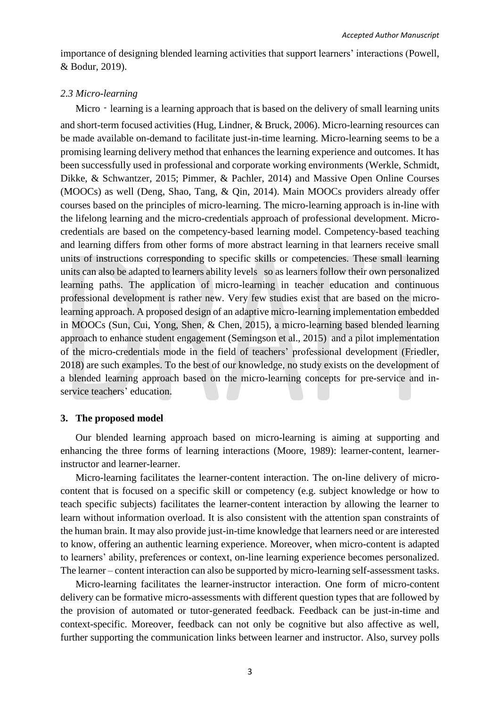importance of designing blended learning activities that support learners' interactions (Powell, & Bodur, 2019).

## *2.3 Micro-learning*

Micro – learning is a learning approach that is based on the delivery of small learning units and short-term focused activities (Hug, Lindner, & Bruck, 2006). Micro-learning resources can be made available on-demand to facilitate just-in-time learning. Micro-learning seems to be a promising learning delivery method that enhances the learning experience and outcomes. It has been successfully used in professional and corporate working environments (Werkle, Schmidt, Dikke, & Schwantzer, 2015; Pimmer, & Pachler, 2014) and Massive Open Online Courses (MOOCs) as well (Deng, Shao, Tang, & Qin, 2014). Main MOOCs providers already offer courses based on the principles of micro-learning. The micro-learning approach is in-line with the lifelong learning and the micro-credentials approach of professional development. Microcredentials are based on the competency-based learning model. Competency-based teaching and learning differs from other forms of more abstract learning in that learners receive small units of instructions corresponding to specific skills or competencies. These small learning units can also be adapted to learners ability levels so as learners follow their own personalized learning paths. The application of micro-learning in teacher education and continuous professional development is rather new. Very few studies exist that are based on the microlearning approach. A proposed design of an adaptive micro-learning implementation embedded in MOOCs (Sun, Cui, Yong, Shen, & Chen, 2015), a micro-learning based blended learning approach to enhance student engagement (Semingson et al., 2015) and a pilot implementation of the micro-credentials mode in the field of teachers' professional development (Friedler, 2018) are such examples. To the best of our knowledge, no study exists on the development of a blended learning approach based on the micro-learning concepts for pre-service and inservice teachers' education.

#### **3. The proposed model**

Our blended learning approach based on micro-learning is aiming at supporting and enhancing the three forms of learning interactions (Moore, 1989): learner-content, learnerinstructor and learner-learner.

Micro-learning facilitates the learner-content interaction. The on-line delivery of microcontent that is focused on a specific skill or competency (e.g. subject knowledge or how to teach specific subjects) facilitates the learner-content interaction by allowing the learner to learn without information overload. It is also consistent with the attention span constraints of the human brain. It may also provide just-in-time knowledge that learners need or are interested to know, offering an authentic learning experience. Moreover, when micro-content is adapted to learners' ability, preferences or context, on-line learning experience becomes personalized. The learner – content interaction can also be supported by micro-learning self-assessment tasks.

Micro-learning facilitates the learner-instructor interaction. One form of micro-content delivery can be formative micro-assessments with different question types that are followed by the provision of automated or tutor-generated feedback. Feedback can be just-in-time and context-specific. Moreover, feedback can not only be cognitive but also affective as well, further supporting the communication links between learner and instructor. Also, survey polls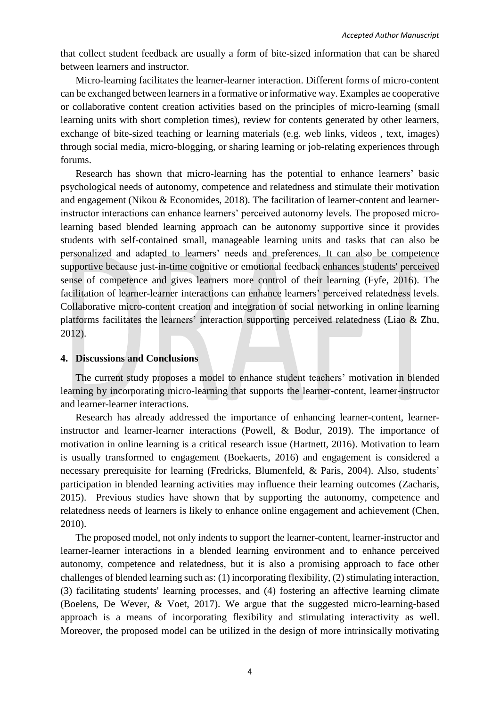that collect student feedback are usually a form of bite-sized information that can be shared between learners and instructor.

Micro-learning facilitates the learner-learner interaction. Different forms of micro-content can be exchanged between learners in a formative or informative way. Examples ae cooperative or collaborative content creation activities based on the principles of micro-learning (small learning units with short completion times), review for contents generated by other learners, exchange of bite-sized teaching or learning materials (e.g. web links, videos , text, images) through social media, micro-blogging, or sharing learning or job-relating experiences through forums.

Research has shown that micro-learning has the potential to enhance learners' basic psychological needs of autonomy, competence and relatedness and stimulate their motivation and engagement (Nikou & Economides, 2018). The facilitation of learner-content and learnerinstructor interactions can enhance learners' perceived autonomy levels. The proposed microlearning based blended learning approach can be autonomy supportive since it provides students with self-contained small, manageable learning units and tasks that can also be personalized and adapted to learners' needs and preferences. It can also be competence supportive because just-in-time cognitive or emotional feedback enhances students' perceived sense of competence and gives learners more control of their learning (Fyfe, 2016). The facilitation of learner-learner interactions can enhance learners' perceived relatedness levels. Collaborative micro-content creation and integration of social networking in online learning platforms facilitates the learners' interaction supporting perceived relatedness (Liao & Zhu, 2012).

#### **4. Discussions and Conclusions**

The current study proposes a model to enhance student teachers' motivation in blended learning by incorporating micro-learning that supports the learner-content, learner-instructor and learner-learner interactions.

Research has already addressed the importance of enhancing learner-content, learnerinstructor and learner-learner interactions (Powell, & Bodur, 2019). The importance of motivation in online learning is a critical research issue (Hartnett, 2016). Motivation to learn is usually transformed to engagement (Boekaerts, 2016) and engagement is considered a necessary prerequisite for learning (Fredricks, Blumenfeld, & Paris, 2004). Also, students' participation in blended learning activities may influence their learning outcomes (Zacharis, 2015). Previous studies have shown that by supporting the autonomy, competence and relatedness needs of learners is likely to enhance online engagement and achievement (Chen, 2010).

The proposed model, not only indents to support the learner-content, learner-instructor and learner-learner interactions in a blended learning environment and to enhance perceived autonomy, competence and relatedness, but it is also a promising approach to face other challenges of blended learning such as: (1) incorporating [flexibility,](https://www.sciencedirect.com/topics/social-sciences/flexibility) (2) stimulating [interaction,](https://www.sciencedirect.com/topics/social-sciences/interaction) (3) facilitating students' [learning processes,](https://www.sciencedirect.com/topics/social-sciences/learning-processes) and (4) fostering an affective learning climate (Boelens, De Wever, & Voet, 2017). We argue that the suggested micro-learning-based approach is a means of incorporating flexibility and stimulating interactivity as well. Moreover, the proposed model can be utilized in the design of more intrinsically motivating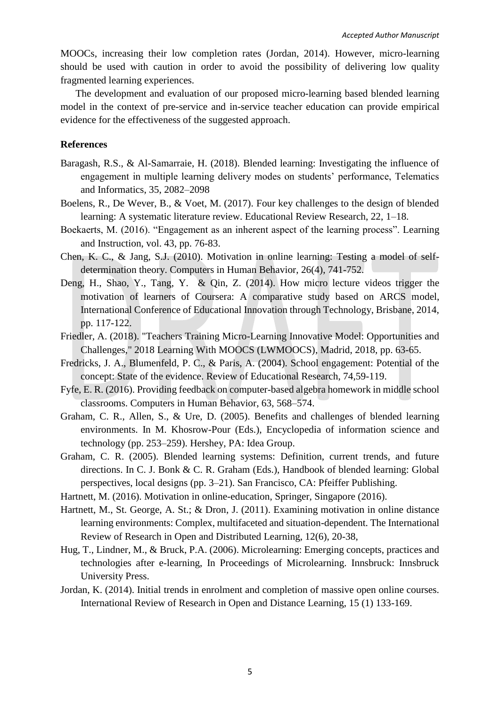MOOCs, increasing their low completion rates (Jordan, 2014). However, micro-learning should be used with caution in order to avoid the possibility of delivering low quality fragmented learning experiences.

The development and evaluation of our proposed micro-learning based blended learning model in the context of pre-service and in-service teacher education can provide empirical evidence for the effectiveness of the suggested approach.

## **References**

- Baragash, R.S., & Al-Samarraie, H. (2018). Blended learning: Investigating the influence of engagement in multiple learning delivery modes on students' performance, Telematics and Informatics, 35, 2082–2098
- Boelens, R., De Wever, B., & Voet, M. (2017). Four key challenges to the design of blended learning: A systematic literature review. Educational Review Research, 22, 1–18.
- Boekaerts, M. (2016). "Engagement as an inherent aspect of the learning process". Learning and Instruction, vol. 43, pp. 76-83.
- Chen, K. C., & Jang, S.J. (2010). Motivation in online learning: Testing a model of selfdetermination theory. Computers in Human Behavior, 26(4), 741-752.
- Deng, H., Shao, Y., Tang, Y. & Qin, Z. (2014). How micro lecture videos trigger the motivation of learners of Coursera: A comparative study based on ARCS model, International Conference of Educational Innovation through Technology, Brisbane, 2014, pp. 117-122.
- Friedler, A. (2018). "Teachers Training Micro-Learning Innovative Model: Opportunities and Challenges," 2018 Learning With MOOCS (LWMOOCS), Madrid, 2018, pp. 63-65.
- Fredricks, J. A., Blumenfeld, P. C., & Paris, A. (2004). School engagement: Potential of the concept: State of the evidence. Review of Educational Research, 74,59-119.
- Fyfe, E. R. (2016). Providing feedback on computer‐based algebra homework in middle school classrooms. Computers in Human Behavior, 63, 568–574.
- Graham, C. R., Allen, S., & Ure, D. (2005). Benefits and challenges of blended learning environments. In M. Khosrow-Pour (Eds.), Encyclopedia of information science and technology (pp. 253–259). Hershey, PA: Idea Group.
- Graham, C. R. (2005). Blended learning systems: Definition, current trends, and future directions. In C. J. Bonk & C. R. Graham (Eds.), Handbook of blended learning: Global perspectives, local designs (pp. 3–21). San Francisco, CA: Pfeiffer Publishing.
- Hartnett, M. (2016). Motivation in online-education, Springer, Singapore (2016).
- Hartnett, M., St. George, A. St.; & Dron, J. (2011). Examining motivation in online distance learning environments: Complex, multifaceted and situation-dependent. The International Review of Research in Open and Distributed Learning, 12(6), 20-38,
- Hug, T., Lindner, M., & Bruck, P.A. (2006). Microlearning: Emerging concepts, practices and technologies after e‐learning, In Proceedings of Microlearning. Innsbruck: Innsbruck University Press.
- Jordan, K. (2014). Initial trends in enrolment and completion of massive open online courses. International Review of Research in Open and Distance Learning, 15 (1) 133-169.